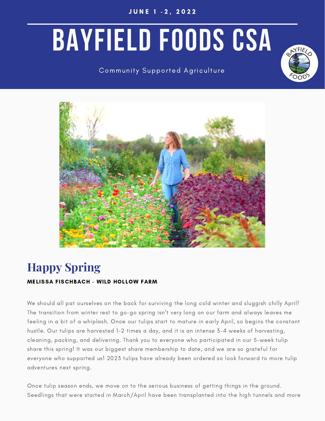J U N E 1 - 2 , 2 0 2 2

# **BAYFIELD FOODS CSA**

# Community Supported Agriculture





# **Happy Spring**

## MELISSA FISCHBACH - WILD HOLLOW FARM

We should all pat ourselves on the back for surviving the long cold winter and sluggish chilly April! The transition from winter rest to go-go spring isn't very long on our farm and always leaves me feeling in a bit of a whiplash. Once our tulips start to mature in early April, so begins the constant hustle. Our tulips are harvested 1-2 times a day, and it is an intense 3-4 weeks of harvesting, cleaning, packing, and delivering. Thank you to everyone who participated in our 5-week tulip share this spring! It was our biggest share membership to date, and we are so grateful for everyone who supported us! 2023 tulips have already been ordered so look forward to more tulip adventures next spring.

Once tulip season ends, we move on to the serious business of getting things in the ground. Seedlings that were started in March/April have been transplanted into the high tunnels and more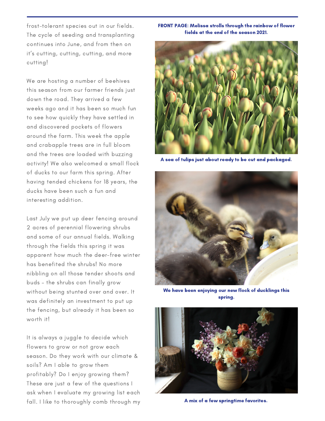frost-tolerant species out in our fields. The cycle of seeding and transplanting continues into June, and from then on it's cutting, cutting, cutting, and more cutting!

We are hosting a number of beehives this season from our farmer friends just down the road. They arrived a few weeks ago and it has been so much fun to see how quickly they have settled in and discovered pockets of flowers around the farm. This week the apple and crabapple trees are in full bloom and the trees are loaded with buzzing activity! We also welcomed a small flock of ducks to our farm this spring. After having tended chickens for 18 years, the ducks have been such a fun and interesting addition.

Last July we put up deer fencing around 2 acres of perennial flowering shrubs and some of our annual fields. Walking through the fields this spring it was apparent how much the deer-free winter has benefited the shrubs! No more nibbling on all those tender shoots and buds – the shrubs can finally grow without being stunted over and over. It was definitely an investment to put up the fencing, but already it has been so worth it!

It is always a juggle to decide which flowers to grow or not grow each season. Do they work with our climate & soils? Am I able to grow them profitably? Do I enjoy growing them? These are just a few of the questions I ask when I evaluate my growing list each fall. I like to thoroughly comb through my

#### FRONT PAGE: Melissa strolls through the rainbow of flower fields at the end of the season 2021.



A sea of tulips just about ready to be cut and packaged.



We have been enjoying our new flock of ducklings this spring.



A mix of a few springtime favorites.